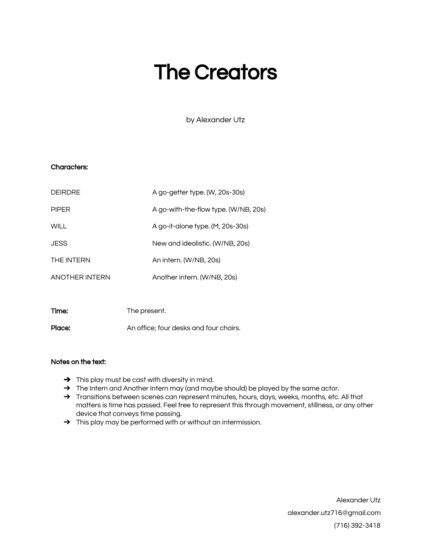# The Creators

by Alexander Utz

## Characters:

| <b>DEIRDRE</b> | A go-getter type. (W, 20s-30s)       |
|----------------|--------------------------------------|
| <b>PIPFR</b>   | A go-with-the-flow type. (W/NB, 20s) |
| WII L          | A go-it-alone type. (M, 20s-30s)     |
| <b>JESS</b>    | New and idealistic. (W/NB, 20s)      |
| THE INTERN     | An intern. (W/NB, 20s)               |
| ANOTHER INTERN | Another intern. (W/NB, 20s)          |
|                |                                      |

| Time:  | The present.                           |
|--------|----------------------------------------|
| Place: | An office; four desks and four chairs. |

## Notes on the text:

- ➔ This play must be cast with diversity in mind.
- → The Intern and Another Intern may (and maybe should) be played by the same actor.
- → Transitions between scenes can represent minutes, hours, days, weeks, months, etc. All that matters is time has passed. Feel free to represent this through movement, stillness, or any other device that conveys time passing.
- → This play may be performed with or without an intermission.

Alexander Utz [alexander.utz716@gmail.com](mailto:alexander.utz716@gmail.com) (716) 392-3418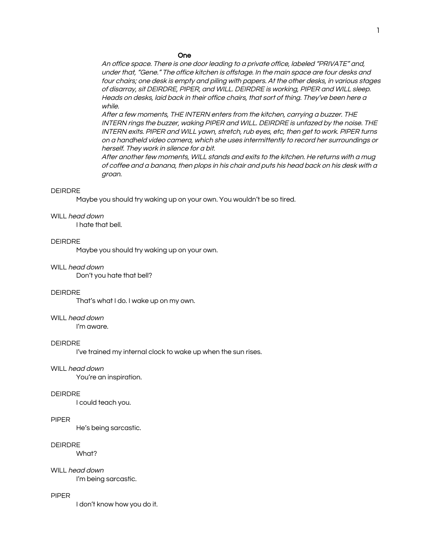#### One

An office space. There is one door leading to <sup>a</sup> private office, labeled "PRIVATE" and, under that, "Gene." The office kitchen is offstage. In the main space are four desks and four chairs; one desk is empty and piling with papers. At the other desks, in various stages of disarray, sit DEIRDRE, PIPER, and WILL. DEIRDRE is working, PIPER and WILL sleep. Heads on desks, laid back in their office chairs, that sort of thing. They've been here <sup>a</sup> while.

After <sup>a</sup> few moments, THE INTERN enters from the kitchen, carrying <sup>a</sup> buzzer. THE INTERN rings the buzzer, waking PIPER and WILL. DEIRDRE is unfazed by the noise. THE INTERN exits. PIPER and WILL yawn, stretch, rub eyes, etc, then get to work. PIPER turns on <sup>a</sup> handheld video camera, which she uses intermittently to record her surroundings or herself. They work in silence for <sup>a</sup> bit.

After another few moments, WILL stands and exits to the kitchen. He returns with <sup>a</sup> mug of coffee and <sup>a</sup> banana, then plops in his chair and puts his head back on his desk with <sup>a</sup> groan.

#### DEIRDRE

Maybe you should try waking up on your own. You wouldn't be so tired.

#### WILL head down

I hate that bell.

## DEIRDRE

Maybe you should try waking up on your own.

#### WILL head down

Don't you hate that bell?

#### DEIRDRE

That's what I do. I wake up on my own.

## WILL head down

I'm aware.

#### DEIRDRE

I've trained my internal clock to wake up when the sun rises.

#### WILL head down

You're an inspiration.

#### DEIRDRE

I could teach you.

#### PIPER

He's being sarcastic.

#### DEIRDRE

What?

#### WILL head down

I'm being sarcastic.

#### PIPER

I don't know how you do it.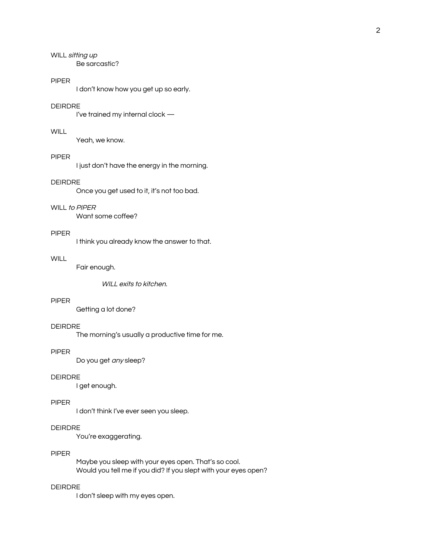WILL sitting up Be sarcastic?

#### PIPER

I don't know how you get up so early.

## DEIRDRE

I've trained my internal clock —

## **WILL**

Yeah, we know.

# PIPER

I just don't have the energy in the morning.

## DEIRDRE

Once you get used to it, it's not too bad.

## WILL to PIPER

Want some coffee?

## PIPER

I think you already know the answer to that.

# **WILL**

Fair enough.

WILL exits to kitchen.

## PIPER

Getting a lot done?

## DEIRDRE

The morning's usually a productive time for me.

#### PIPER

Do you get any sleep?

## DEIRDRE

I get enough.

## PIPER

I don't think I've ever seen you sleep.

# DEIRDRE

You're exaggerating.

#### PIPER

Maybe you sleep with your eyes open. That's so cool. Would you tell me if you did? If you slept with your eyes open?

## DEIRDRE

I don't sleep with my eyes open.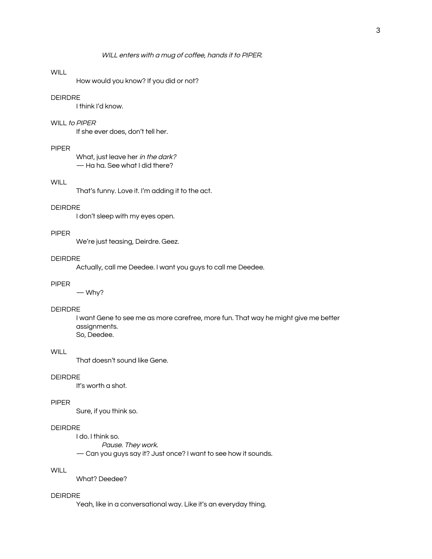# **WILL**

How would you know? If you did or not?

## DEIRDRE

I think I'd know.

#### WILL to PIPER

If she ever does, don't tell her.

## PIPER

What, just leave her in the dark? — Ha ha. See what I did there?

## **WILL**

That's funny. Love it. I'm adding it to the act.

#### DEIRDRE

I don't sleep with my eyes open.

#### PIPER

We're just teasing, Deirdre. Geez.

## DEIRDRE

Actually, call me Deedee. I want you guys to call me Deedee.

## PIPER

— Why?

#### DEIRDRE

I want Gene to see me as more carefree, more fun. That way he might give me better assignments. So, Deedee.

#### **WILL**

That doesn't sound like Gene.

## DEIRDRE

It's worth a shot.

#### PIPER

Sure, if you think so.

# DEIRDRE

I do. I think so.

Pause. They work.

— Can you guys say it? Just once? I want to see how it sounds.

# **WILL**

What? Deedee?

#### DEIRDRE

Yeah, like in a conversational way. Like it's an everyday thing.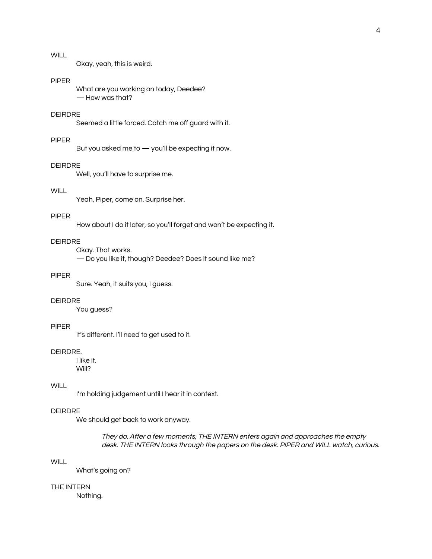# **WILL**

Okay, yeah, this is weird.

#### PIPER

What are you working on today, Deedee? — How was that?

# DEIRDRE

Seemed a little forced. Catch me off guard with it.

## PIPER

But you asked me to — you'll be expecting it now.

#### DEIRDRE

Well, you'll have to surprise me.

# **WILL**

Yeah, Piper, come on. Surprise her.

#### PIPER

How about I do it later, so you'll forget and won't be expecting it.

# DEIRDRE

Okay. That works.

— Do you like it, though? Deedee? Does it sound like me?

# PIPER

Sure. Yeah, it suits you, I guess.

#### DEIRDRE

You guess?

#### PIPER

It's different. I'll need to get used to it.

#### DEIRDRE.

I like it. Will?

## **WILL**

I'm holding judgement until I hear it in context.

## DEIRDRE

We should get back to work anyway.

They do. After <sup>a</sup> few moments, THE INTERN enters again and approaches the empty desk. THE INTERN looks through the papers on the desk. PIPER and WILL watch, curious.

# **WILL**

What's going on?

## THE INTERN

Nothing.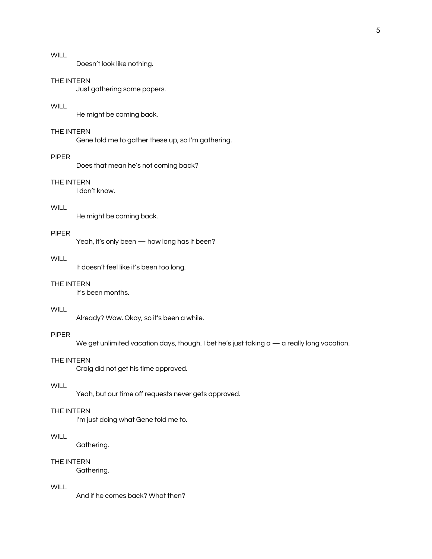Doesn't look like nothing.

#### THE INTERN

Just gathering some papers.

## **WILL**

He might be coming back.

## THE INTERN

Gene told me to gather these up, so I'm gathering.

#### PIPER

Does that mean he's not coming back?

## THE INTERN

I don't know.

# WILL.

He might be coming back.

## PIPER

Yeah, it's only been — how long has it been?

## **WILL**

It doesn't feel like it's been too long.

## THE INTERN

It's been months.

## **WILL**

Already? Wow. Okay, so it's been a while.

## PIPER

We get unlimited vacation days, though. I bet he's just taking a  $-$  a really long vacation.

#### THE INTERN

Craig did not get his time approved.

## **WILL**

Yeah, but our time off requests never gets approved.

#### THE INTERN

I'm just doing what Gene told me to.

# WILL.

Gathering.

# THE INTERN

Gathering.

## WILL.

And if he comes back? What then?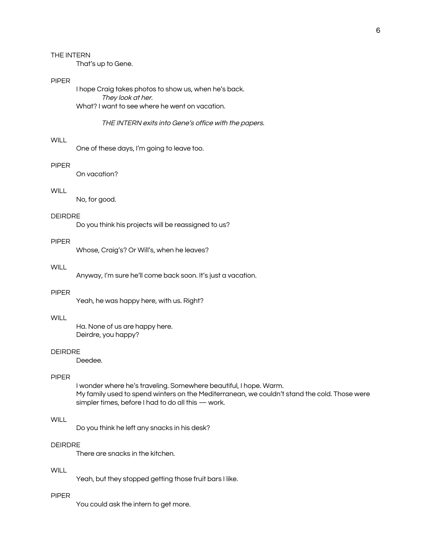That's up to Gene.

## PIPER

I hope Craig takes photos to show us, when he's back. They look at her. What? I want to see where he went on vacation.

#### THE INTERN exits into Gene's office with the papers.

#### **WILL**

One of these days, I'm going to leave too.

#### PIPER

On vacation?

# **WILL**

No, for good.

#### DEIRDRE

Do you think his projects will be reassigned to us?

# PIPER

Whose, Craig's? Or Will's, when he leaves?

#### WILL.

Anyway, I'm sure he'll come back soon. It's just a vacation.

#### PIPER

Yeah, he was happy here, with us. Right?

## **WILL**

Ha. None of us are happy here. Deirdre, you happy?

#### DEIRDRE

Deedee.

## PIPER

I wonder where he's traveling. Somewhere beautiful, I hope. Warm. My family used to spend winters on the Mediterranean, we couldn't stand the cold. Those were simpler times, before I had to do all this — work.

#### **WILL**

Do you think he left any snacks in his desk?

## DEIRDRE

There are snacks in the kitchen.

# **WILL**

Yeah, but they stopped getting those fruit bars I like.

#### PIPER

You could ask the intern to get more.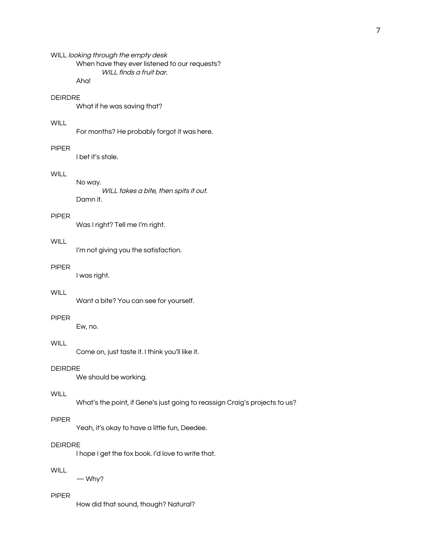## WILL looking through the empty desk When have they ever listened to our requests? WILL finds a fruit bar. Aha!

## DEIRDRE

What if he was saving that?

## **WILL**

For months? He probably forgot it was here.

## PIPER

I bet it's stale.

## **WILL**

No way. WILL takes a bite, then spits it out. Damn it.

#### PIPER

Was I right? Tell me I'm right.

# **WILL**

I'm not giving you the satisfaction.

#### PIPER

I was right.

#### **WILL**

Want a bite? You can see for yourself.

## PIPER

Ew, no.

# WILL.

Come on, just taste it. I think you'll like it.

# DEIRDRE

We should be working.

# **WILL**

What's the point, if Gene's just going to reassign Craig's projects to us?

#### PIPER

Yeah, it's okay to have a little fun, Deedee.

#### DEIRDRE

I hope I get the fox book. I'd love to write that.

# **WILL**

— Why?

#### PIPER

How did that sound, though? Natural?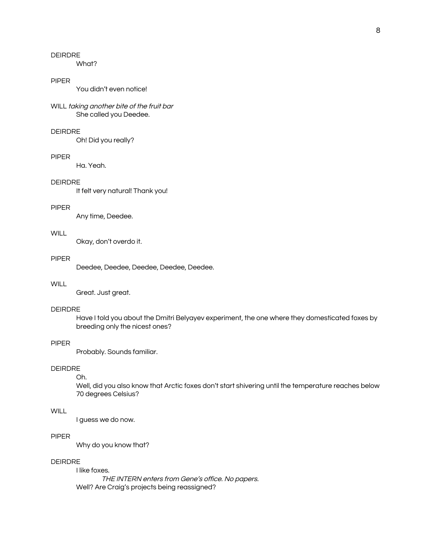# DEIRDRE

What?

#### PIPER

You didn't even notice!

## WILL taking another bite of the fruit bar She called you Deedee.

## DEIRDRE

Oh! Did you really?

#### PIPER

Ha. Yeah.

## DEIRDRE

It felt very natural! Thank you!

## PIPER

Any time, Deedee.

## **WILL**

Okay, don't overdo it.

## PIPER

Deedee, Deedee, Deedee, Deedee, Deedee.

# **WILL**

Great. Just great.

#### DEIRDRE

Have I told you about the Dmitri Belyayev experiment, the one where they domesticated foxes by breeding only the nicest ones?

#### PIPER

Probably. Sounds familiar.

## DEIRDRE

#### Oh.

Well, did you also know that Arctic foxes don't start shivering until the temperature reaches below 70 degrees Celsius?

#### **WILL**

I guess we do now.

# PIPER

Why do you know that?

# DEIRDRE

I like foxes. THE INTERN enters from Gene's office. No papers. Well? Are Craig's projects being reassigned?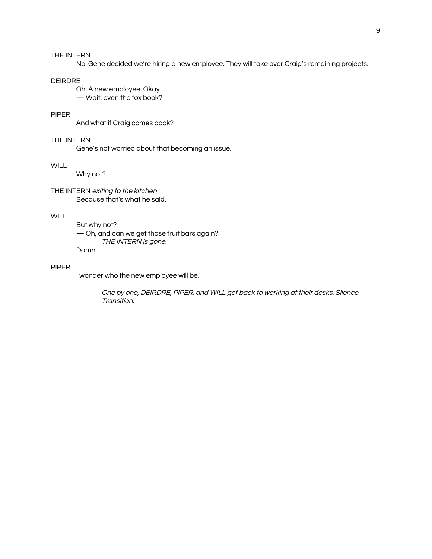No. Gene decided we're hiring a new employee. They will take over Craig's remaining projects.

#### DEIRDRE

Oh. A new employee. Okay. — Wait, even the fox book?

# PIPER

And what if Craig comes back?

# THE INTERN

Gene's not worried about that becoming an issue.

## **WILL**

Why not?

THE INTERN exiting to the kitchen Because that's what he said.

#### **WILL**

But why not? — Oh, and can we get those fruit bars again? THE INTERN is gone. Damn.

#### PIPER

I wonder who the new employee will be.

One by one, DEIRDRE, PIPER, and WILL get back to working at their desks. Silence. Transition.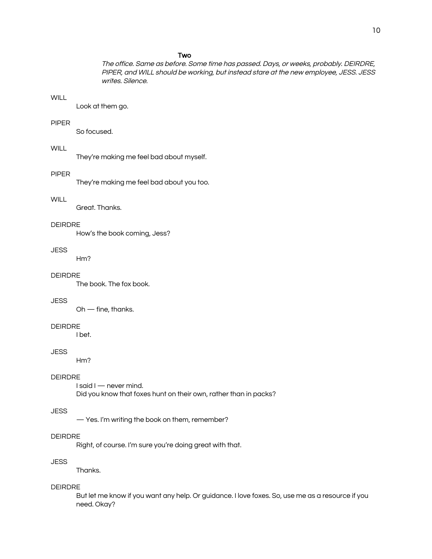The office. Same as before. Some time has passed. Days, or weeks, probably. DEIRDRE, PIPER, and WILL should be working, but instead stare at the new employee, JESS. JESS writes. Silence.

# **WILL**

Look at them go.

## PIPER

So focused.

# **WILL**

They're making me feel bad about myself.

#### PIPER

They're making me feel bad about you too.

#### **WILL**

Great. Thanks.

#### DEIRDRE

How's the book coming, Jess?

#### JESS

Hm?

# DEIRDRE

The book. The fox book.

# **JESS**

Oh — fine, thanks.

#### DEIRDRE

I bet.

#### **JESS**

Hm?

## DEIRDRE

I said I — never mind. Did you know that foxes hunt on their own, rather than in packs?

#### **JESS**

— Yes. I'm writing the book on them, remember?

#### DEIRDRE

Right, of course. I'm sure you're doing great with that.

# **JESS**

Thanks.

#### DEIRDRE

But let me know if you want any help. Or guidance. I love foxes. So, use me as a resource if you need. Okay?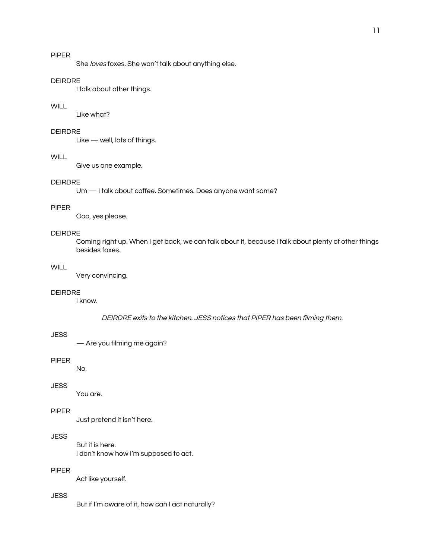# PIPER

She loves foxes. She won't talk about anything else.

#### DEIRDRE

I talk about other things.

## **WILL**

Like what?

#### DEIRDRE

Like — well, lots of things.

## WILL **WILL**

Give us one example.

# DEIRDRE

Um — I talk about coffee. Sometimes. Does anyone want some?

#### PIPER

Ooo, yes please.

## DEIRDRE

Coming right up. When I get back, we can talk about it, because I talk about plenty of other things besides foxes.

#### **WILL**

Very convincing.

#### DEIRDRE

I know.

DEIRDRE exits to the kitchen. JESS notices that PIPER has been filming them.

# **JESS**

— Are you filming me again?

#### PIPER

No.

#### **JESS**

You are.

## PIPER

Just pretend it isn't here.

## JESS

But it is here. I don't know how I'm supposed to act.

# PIPER

Act like yourself.

## **JESS**

But if I'm aware of it, how can I act naturally?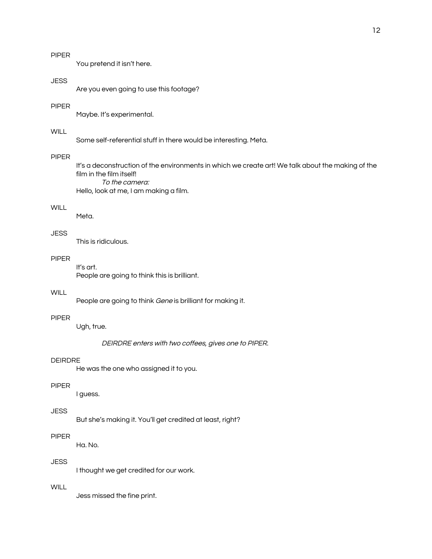You pretend it isn't here.

#### **JESS**

Are you even going to use this footage?

## PIPER

Maybe. It's experimental.

# WILL

Some self-referential stuff in there would be interesting. Meta.

## PIPER

It's a deconstruction of the environments in which we create art! We talk about the making of the film in the film itself! To the camera:

Hello, look at me, I am making a film.

#### WILL.

Meta.

## **JESS**

This is ridiculous.

# PIPER

It's art. People are going to think this is brilliant.

#### **WILL**

People are going to think Gene is brilliant for making it.

# PIPER

Ugh, true.

DEIRDRE enters with two coffees, gives one to PIPER.

#### DEIRDRE

He was the one who assigned it to you.

#### PIPER

I guess.

## **JESS**

But she's making it. You'll get credited at least, right?

## PIPER

Ha. No.

# **JESS**

I thought we get credited for our work.

## **WILL**

Jess missed the fine print.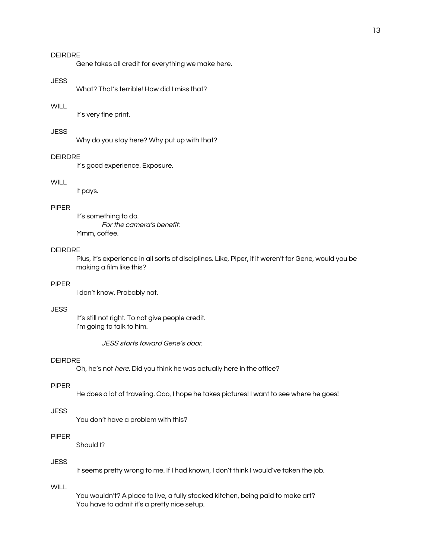# DEIRDRE

Gene takes all credit for everything we make here.

#### JESS

What? That's terrible! How did I miss that?

#### **WILL**

It's very fine print.

## **JESS**

Why do you stay here? Why put up with that?

## DEIRDRE

It's good experience. Exposure.

# **WILL**

It pays.

#### PIPER

It's something to do. For the camera's benefit: Mmm, coffee.

#### DEIRDRE

Plus, it's experience in all sorts of disciplines. Like, Piper, if it weren't for Gene, would you be making a film like this?

## PIPER

I don't know. Probably not.

## **JESS**

It's still not right. To not give people credit. I'm going to talk to him.

JESS starts toward Gene's door.

#### DEIRDRE

Oh, he's not *here*. Did you think he was actually here in the office?

#### PIPER

He does a lot of traveling. Ooo, I hope he takes pictures! I want to see where he goes!

#### **JESS**

You don't have a problem with this?

## PIPER

Should I?

# **JESS**

It seems pretty wrong to me. If I had known, I don't think I would've taken the job.

# WILL.

You wouldn't? A place to live, a fully stocked kitchen, being paid to make art? You have to admit it's a pretty nice setup.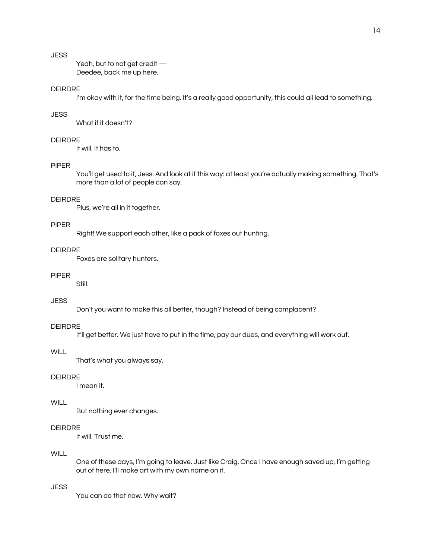# **JESS**

Yeah, but to not get credit — Deedee, back me up here.

## DEIRDRE

I'm okay with it, for the time being. It's a really good opportunity, this could all lead to something.

## **JESS**

What if it doesn't?

# DEIRDRE

It will. It has to.

# PIPER

You'll get used to it, Jess. And look at it this way: at least you're actually making something. That's more than a lot of people can say.

#### DEIRDRE

Plus, we're all in it together.

#### PIPER

Right! We support each other, like a pack of foxes out hunting.

## DEIRDRE

Foxes are solitary hunters.

#### PIPER

Still.

## **JESS**

Don't you want to make this all better, though? Instead of being complacent?

#### DEIRDRE

It'll get better. We just have to put in the time, pay our dues, and everything will work out.

#### **WILL**

That's what you always say.

## DEIRDRE

I mean it.

## **WILL**

But nothing ever changes.

# DEIRDRE

It will. Trust me.

## WILL.

One of these days, I'm going to leave. Just like Craig. Once I have enough saved up, I'm getting out of here. I'll make art with my own name on it.

## **JESS**

You can do that now. Why wait?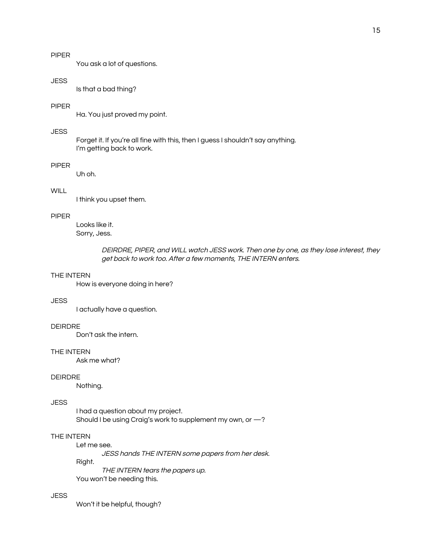# PIPER

You ask a lot of questions.

#### **JESS**

Is that a bad thing?

#### PIPER

Ha. You just proved my point.

## **JESS**

Forget it. If you're all fine with this, then I guess I shouldn't say anything. I'm getting back to work.

#### PIPER

Uh oh.

# **WILL**

I think you upset them.

#### PIPER

Looks like it. Sorry, Jess.

> DEIRDRE, PIPER, and WILL watch JESS work. Then one by one, as they lose interest, they get back to work too. After <sup>a</sup> few moments, THE INTERN enters.

## THE INTERN

How is everyone doing in here?

## JESS

I actually have a question.

#### DEIRDRE

Don't ask the intern.

#### THE INTERN

Ask me what?

## DEIRDRE

Nothing.

#### **JESS**

I had a question about my project. Should I be using Craig's work to supplement my own, or —?

## THE INTERN

Let me see.

JESS hands THE INTERN some papers from her desk.

Right.

THE INTERN tears the papers up. You won't be needing this.

#### **JESS**

Won't it be helpful, though?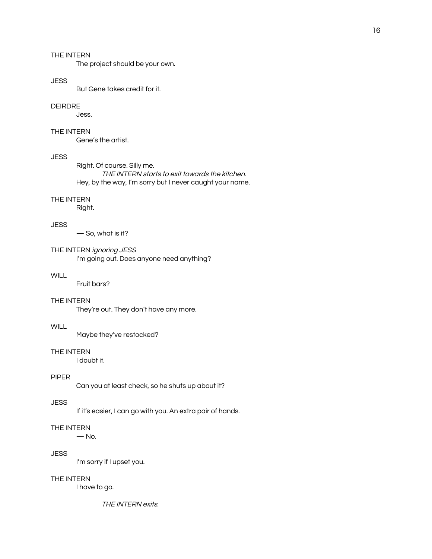The project should be your own.

#### **JESS**

But Gene takes credit for it.

#### DEIRDRE

Jess.

## THE INTERN

Gene's the artist.

#### JESS

Right. Of course. Silly me. THE INTERN starts to exit towards the kitchen. Hey, by the way, I'm sorry but I never caught your name.

#### THE INTERN

Right.

#### **JESS**

— So, what is it?

## THE INTERN ignoring JESS I'm going out. Does anyone need anything?

## **WILL**

Fruit bars?

#### THE INTERN

They're out. They don't have any more.

#### **WILL**

Maybe they've restocked?

## THE INTERN

I doubt it.

## PIPER

Can you at least check, so he shuts up about it?

#### **JESS**

If it's easier, I can go with you. An extra pair of hands.

## THE INTERN

 $-$  No.

#### **JESS**

I'm sorry if I upset you.

#### THE INTERN

I have to go.

THE INTERN exits.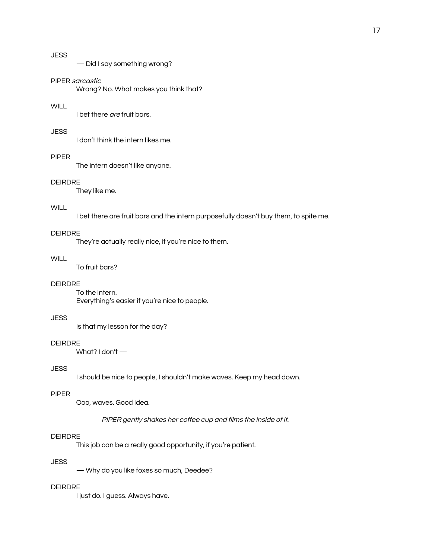— Did I say something wrong?

## PIPER sarcastic

Wrong? No. What makes you think that?

## **WILL**

I bet there are fruit bars.

#### **JESS**

I don't think the intern likes me.

#### PIPER

The intern doesn't like anyone.

# DEIRDRE

They like me.

# WILL.

I bet there are fruit bars and the intern purposefully doesn't buy them, to spite me.

# DEIRDRE

They're actually really nice, if you're nice to them.

# **WILL**

To fruit bars?

## DEIRDRE

To the intern. Everything's easier if you're nice to people.

#### **JESS**

Is that my lesson for the day?

#### DEIRDRE

What? I don't —

# **JESS**

I should be nice to people, I shouldn't make waves. Keep my head down.

## PIPER

Ooo, waves. Good idea.

PIPER gently shakes her coffee cup and films the inside of it.

#### DEIRDRE

This job can be a really good opportunity, if you're patient.

# **JESS**

— Why do you like foxes so much, Deedee?

#### DEIRDRE

I just do. I guess. Always have.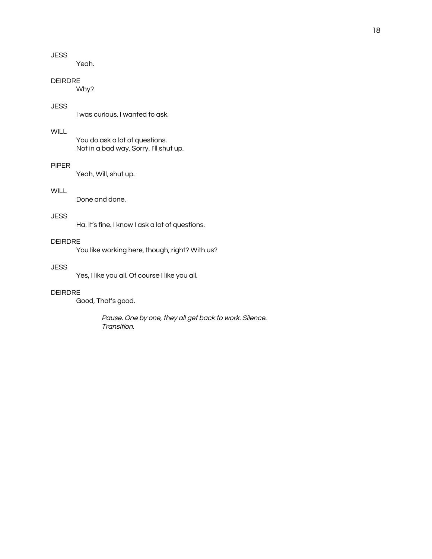# **JESS**

Yeah.

## DEIRDRE

Why?

# **JESS**

I was curious. I wanted to ask.

## WILL

You do ask a lot of questions. Not in a bad way. Sorry. I'll shut up.

# PIPER

Yeah, Will, shut up.

# **WILL**

Done and done.

## **JESS**

Ha. It's fine. I know I ask a lot of questions.

# DEIRDRE

You like working here, though, right? With us?

#### **JESS**

Yes, I like you all. Of course I like you all.

## DEIRDRE

Good, That's good.

Pause. One by one, they all get back to work. Silence. Transition.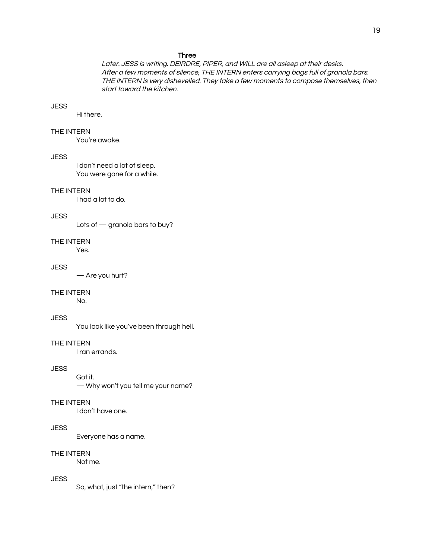#### Three

Later. JESS is writing. DEIRDRE, PIPER, and WILL are all asleep at their desks. After <sup>a</sup> few moments of silence, THE INTERN enters carrying bags full of granola bars. THE INTERN is very dishevelled. They take <sup>a</sup> few moments to compose themselves, then start toward the kitchen.

#### **JESS**

Hi there.

## THE INTERN

You're awake.

#### JESS

I don't need a lot of sleep. You were gone for a while.

#### THE INTERN

I had a lot to do.

#### **JESS**

Lots of — granola bars to buy?

#### THE INTERN

Yes.

#### **JESS**

— Are you hurt?

#### THE INTERN

No.

## **JESS**

You look like you've been through hell.

#### THE INTERN

I ran errands.

# **JESS**

Got it. — Why won't you tell me your name?

#### THE INTERN

I don't have one.

# **JESS**

Everyone has a name.

#### THE INTERN

Not me.

# **JESS**

So, what, just "the intern," then?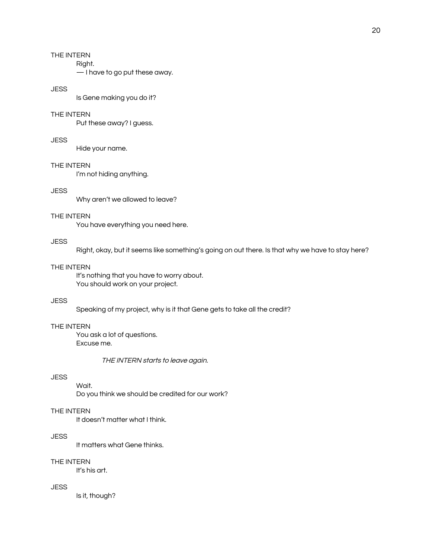Right.

— I have to go put these away.

# **JESS**

Is Gene making you do it?

## THE INTERN

Put these away? I guess.

## **JESS**

Hide your name.

## THE INTERN

I'm not hiding anything.

# **JESS**

Why aren't we allowed to leave?

#### THE INTERN

You have everything you need here.

# **JESS**

Right, okay, but it seems like something's going on out there. Is that why we have to stay here?

#### THE INTERN

It's nothing that you have to worry about. You should work on your project.

# **JESS**

Speaking of my project, why is it that Gene gets to take all the credit?

## THE INTERN

You ask a lot of questions. Excuse me.

THE INTERN starts to leave again.

# **JESS**

Wait.

Do you think we should be credited for our work?

## THE INTERN

It doesn't matter what I think.

## JESS

It matters what Gene thinks.

# THE INTERN

It's his art.

# JESS

Is it, though?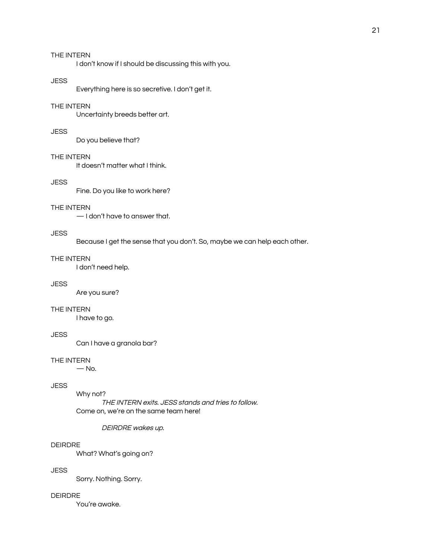I don't know if I should be discussing this with you.

#### **JESS**

Everything here is so secretive. I don't get it.

## THE INTERN

Uncertainty breeds better art.

## **JESS**

Do you believe that?

## THE INTERN

It doesn't matter what I think.

## **JESS**

Fine. Do you like to work here?

#### THE INTERN

— I don't have to answer that.

#### **JESS**

Because I get the sense that you don't. So, maybe we can help each other.

# THE INTERN

I don't need help.

# **JESS**

Are you sure?

## THE INTERN

I have to go.

# **JESS**

Can I have a granola bar?

#### THE INTERN

 $-$  No.

## **JESS**

Why not?

THE INTERN exits. JESS stands and tries to follow. Come on, we're on the same team here!

#### DEIRDRE wakes up.

#### DEIRDRE

What? What's going on?

## **JESS**

Sorry. Nothing. Sorry.

#### DEIRDRE

You're awake.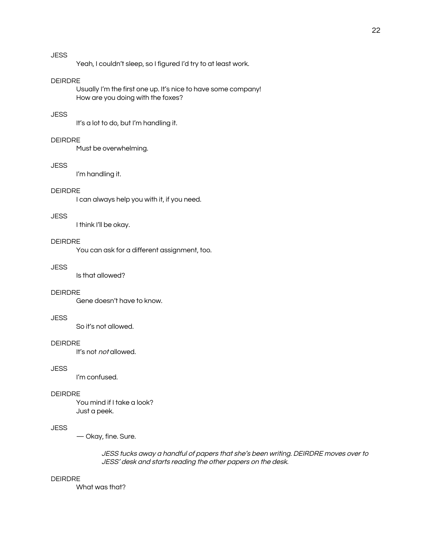# **JESS**

Yeah, I couldn't sleep, so I figured I'd try to at least work.

#### DEIRDRE

Usually I'm the first one up. It's nice to have some company! How are you doing with the foxes?

# **JESS**

It's a lot to do, but I'm handling it.

# DEIRDRE

Must be overwhelming.

## **JESS**

I'm handling it.

# DEIRDRE

I can always help you with it, if you need.

#### **JESS**

I think I'll be okay.

# DEIRDRE

You can ask for a different assignment, too.

#### **JESS**

Is that allowed?

#### DEIRDRE

Gene doesn't have to know.

## **JESS**

So it's not allowed.

#### DEIRDRE

It's not not allowed.

# **JESS**

I'm confused.

#### DEIRDRE

You mind if I take a look? Just a peek.

# **JESS**

— Okay, fine. Sure.

## JESS tucks away <sup>a</sup> handful of papers that she's been writing. DEIRDRE moves over to JESS' desk and starts reading the other papers on the desk.

#### DEIRDRE

What was that?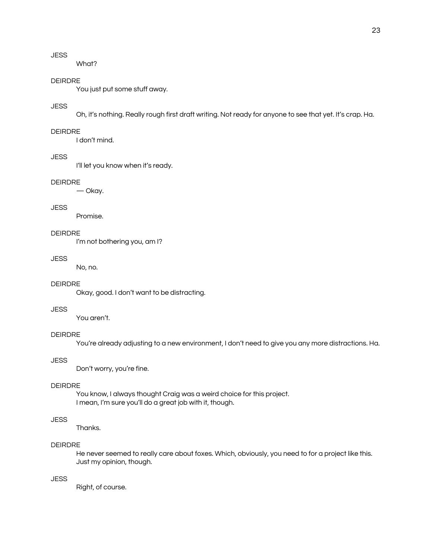# **JESS**

What?

## DEIRDRE

You just put some stuff away.

## **JESS**

Oh, it's nothing. Really rough first draft writing. Not ready for anyone to see that yet. It's crap. Ha.

## DEIRDRE

I don't mind.

## JESS

I'll let you know when it's ready.

# DEIRDRE

— Okay.

# **JESS**

Promise.

# DEIRDRE

I'm not bothering you, am I?

## **JESS**

No, no.

# DEIRDRE

Okay, good. I don't want to be distracting.

## **JESS**

You aren't.

# DEIRDRE

You're already adjusting to a new environment, I don't need to give you any more distractions. Ha.

## **JESS**

Don't worry, you're fine.

#### DEIRDRE

You know, I always thought Craig was a weird choice for this project. I mean, I'm sure you'll do a great job with it, though.

# **JESS**

Thanks.

## DEIRDRE

He never seemed to really care about foxes. Which, obviously, you need to for a project like this. Just my opinion, though.

# **JESS**

Right, of course.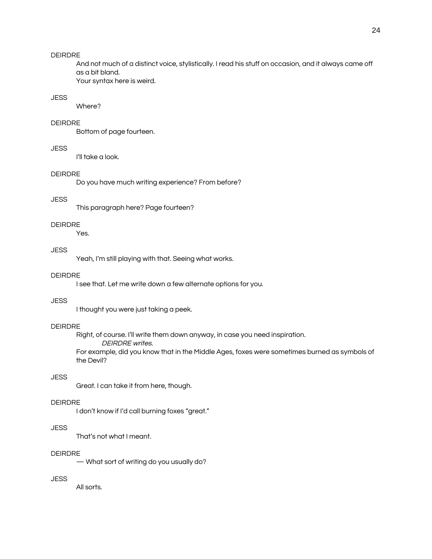#### DEIRDRE

And not much of a distinct voice, stylistically. I read his stuff on occasion, and it always came off as a bit bland.

Your syntax here is weird.

# **JESS**

Where?

#### DEIRDRE

Bottom of page fourteen.

# **JESS**

I'll take a look.

## DEIRDRE

Do you have much writing experience? From before?

#### **JESS**

This paragraph here? Page fourteen?

#### DEIRDRE

Yes.

# JESS

Yeah, I'm still playing with that. Seeing what works.

## DEIRDRE

I see that. Let me write down a few alternate options for you.

# **JESS**

I thought you were just taking a peek.

## DEIRDRE

Right, of course. I'll write them down anyway, in case you need inspiration.

DEIRDRE writes.

For example, did you know that in the Middle Ages, foxes were sometimes burned as symbols of the Devil?

# **JESS**

Great. I can take it from here, though.

#### DEIRDRE

I don't know if I'd call burning foxes "great."

# **JESS**

That's not what I meant.

#### DEIRDRE

— What sort of writing do you usually do?

## **JESS**

All sorts.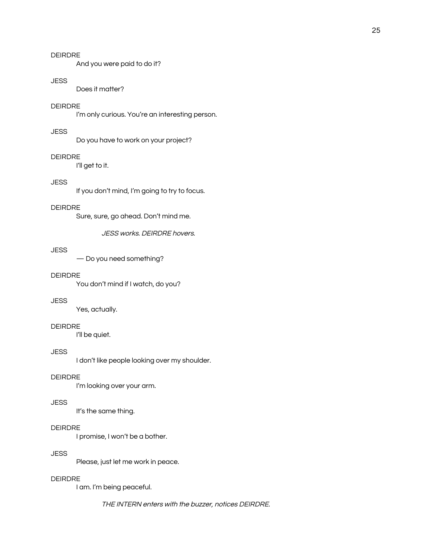# DEIRDRE

And you were paid to do it?

#### **JESS**

Does it matter?

# DEIRDRE

I'm only curious. You're an interesting person.

#### **JESS**

Do you have to work on your project?

#### DEIRDRE

I'll get to it.

# **JESS**

If you don't mind, I'm going to try to focus.

# DEIRDRE

Sure, sure, go ahead. Don't mind me.

JESS works. DEIRDRE hovers.

## **JESS**

— Do you need something?

## DEIRDRE

You don't mind if I watch, do you?

## **JESS**

Yes, actually.

## DEIRDRE

I'll be quiet.

#### **JESS**

I don't like people looking over my shoulder.

## DEIRDRE

I'm looking over your arm.

#### **JESS**

It's the same thing.

# DEIRDRE

I promise, I won't be a bother.

## **JESS**

Please, just let me work in peace.

#### DEIRDRE

I am. I'm being peaceful.

THE INTERN enters with the buzzer, notices DEIRDRE.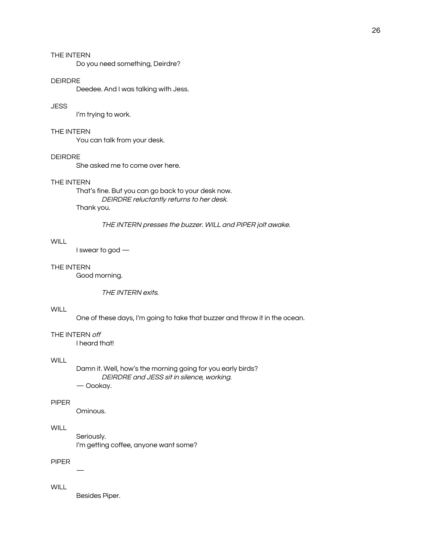Do you need something, Deirdre?

#### DEIRDRE

Deedee. And I was talking with Jess.

#### **JESS**

I'm trying to work.

## THE INTERN

You can talk from your desk.

#### DEIRDRE

She asked me to come over here.

## THE INTERN

That's fine. But you can go back to your desk now. DEIRDRE reluctantly returns to her desk. Thank you.

## THE INTERN presses the buzzer. WILL and PIPER jolt awake.

## **WILL**

I swear to god —

#### THE INTERN

Good morning.

THE INTERN exits.

#### **WILL**

One of these days, I'm going to take that buzzer and throw it in the ocean.

#### THE INTERN off

I heard that!

## **WILL**

Damn it. Well, how's the morning going for you early birds? DEIRDRE and JESS sit in silence, working. — Oookay.

#### PIPER

Ominous.

# **WILL**

Seriously.

I'm getting coffee, anyone want some?

## PIPER

—

## **WILL**

Besides Piper.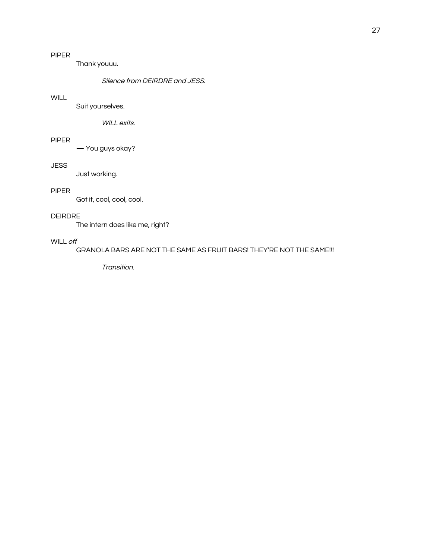Thank youuu.

# Silence from DEIRDRE and JESS.

# **WILL**

Suit yourselves.

WILL exits.

# PIPER

— You guys okay?

## **JESS**

Just working.

# PIPER

Got it, cool, cool, cool.

## DEIRDRE

The intern does like me, right?

# WILL off

GRANOLA BARS ARE NOT THE SAME AS FRUIT BARS! THEY'RE NOT THE SAME!!!

Transition.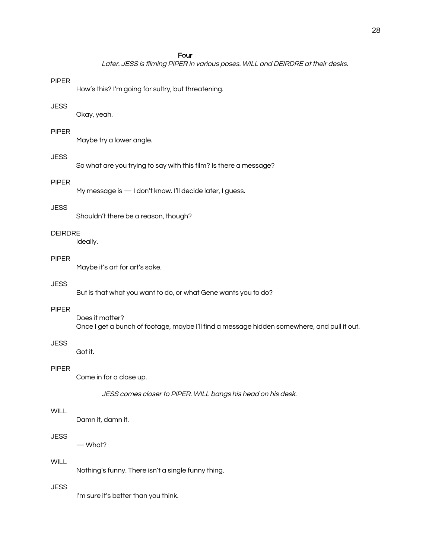#### Four

Later. JESS is filming PIPER in various poses. WILL and DEIRDRE at their desks.

#### PIPER

How's this? I'm going for sultry, but threatening.

#### **JESS**

Okay, yeah.

#### PIPER

Maybe try a lower angle.

# **JESS**

So what are you trying to say with this film? Is there a message?

## PIPER

My message is - I don't know. I'll decide later, I guess.

## **JESS**

Shouldn't there be a reason, though?

## DEIRDRE

Ideally.

## PIPER

Maybe it's art for art's sake.

# **JESS**

But is that what you want to do, or what Gene wants you to do?

## PIPER

Does it matter? Once I get a bunch of footage, maybe I'll find a message hidden somewhere, and pull it out.

## JESS

Got it.

# PIPER

Come in for a close up.

JESS comes closer to PIPER. WILL bangs his head on his desk.

#### **WILL**

Damn it, damn it.

## JESS

— What?

# **WILL**

Nothing's funny. There isn't a single funny thing.

# **JESS**

I'm sure it's better than you think.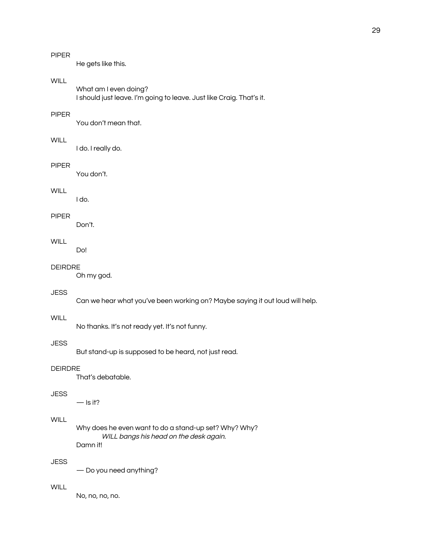# PIPER

He gets like this.

# **WILL**

What am I even doing? I should just leave. I'm going to leave. Just like Craig. That's it.

# PIPER

You don't mean that.

## **WILL**

I do. I really do.

## PIPER

You don't.

# **WILL**

I do.

## PIPER

Don't.

# **WILL**

Do!

#### DEIRDRE

Oh my god.

## **JESS**

Can we hear what you've been working on? Maybe saying it out loud will help.

## **WILL**

No thanks. It's not ready yet. It's not funny.

## JESS

But stand-up is supposed to be heard, not just read.

# DEIRDRE

That's debatable.

# **JESS**

 $-$  Is it?

## **WILL**

Why does he even want to do a stand-up set? Why? Why? WILL bangs his head on the desk again. Damn it!

# **JESS**

— Do you need anything?

## **WILL**

No, no, no, no.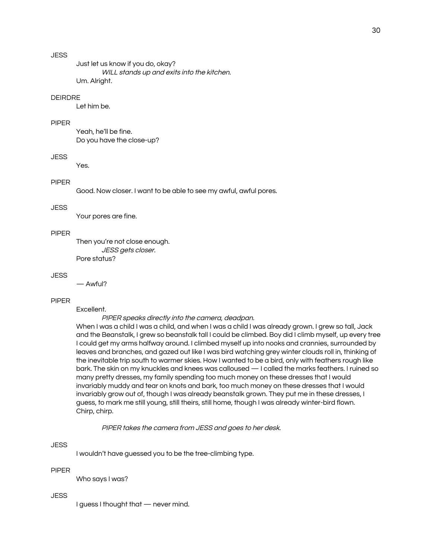# **JESS**

Just let us know if you do, okay? WILL stands up and exits into the kitchen. Um. Alright.

## DEIRDRE

Let him be.

#### PIPER

Yeah, he'll be fine. Do you have the close-up?

## JESS

Yes.

## PIPER

Good. Now closer. I want to be able to see my awful, awful pores.

## **JESS**

Your pores are fine.

#### PIPER

Then you're not close enough. JESS gets closer. Pore status?

## **JESS**

— Awful?

## PIPER

Excellent.

PIPER speaks directly into the camera, deadpan.

When I was a child I was a child, and when I was a child I was already grown. I grew so tall, Jack and the Beanstalk, I grew so beanstalk tall I could be climbed. Boy did I climb myself, up every tree I could get my arms halfway around. I climbed myself up into nooks and crannies, surrounded by leaves and branches, and gazed out like I was bird watching grey winter clouds roll in, thinking of the inevitable trip south to warmer skies. How I wanted to be a bird, only with feathers rough like bark. The skin on my knuckles and knees was calloused — I called the marks feathers. I ruined so many pretty dresses, my family spending too much money on these dresses that I would invariably muddy and tear on knots and bark, too much money on these dresses that I would invariably grow out of, though I was already beanstalk grown. They put me in these dresses, I guess, to mark me still young, still theirs, still home, though I was already winter-bird flown. Chirp, chirp.

PIPER takes the camera from JESS and goes to her desk.

#### **JESS**

I wouldn't have guessed you to be the tree-climbing type.

#### PIPER

Who says I was?

#### **JESS**

I guess I thought that — never mind.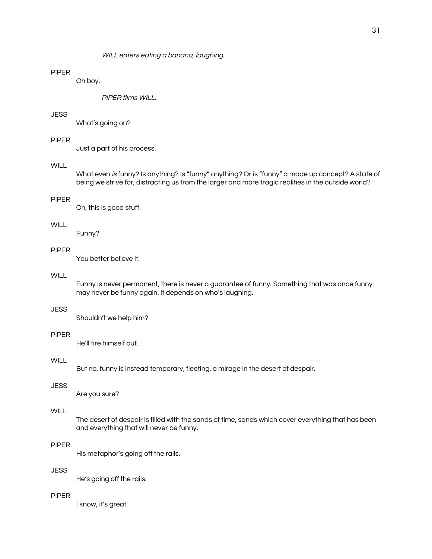#### WILL enters eating a banana, laughing.

# PIPER

Oh boy.

PIPER films WILL.

# **JESS**

What's going on?

#### PIPER

Just a part of his process.

## **WILL**

What even is funny? Is anything? Is "funny" anything? Or is "funny" a made up concept? A state of being we strive for, distracting us from the larger and more tragic realities in the outside world?

#### PIPER

Oh, this is good stuff.

#### **WILL**

Funny?

## PIPER

You better believe it.

## **WILL**

Funny is never permanent, there is never a guarantee of funny. Something that was once funny may never be funny again. It depends on who's laughing.

## **JESS**

Shouldn't we help him?

## PIPER

He'll tire himself out.

## **WILL**

But no, funny is instead temporary, fleeting, a mirage in the desert of despair.

#### **JESS**

Are you sure?

## **WILL**

The desert of despair is filled with the sands of time, sands which cover everything that has been and everything that will never be funny.

#### PIPER

His metaphor's going off the rails.

# **JESS**

He's going off the rails.

#### PIPER

I know, it's great.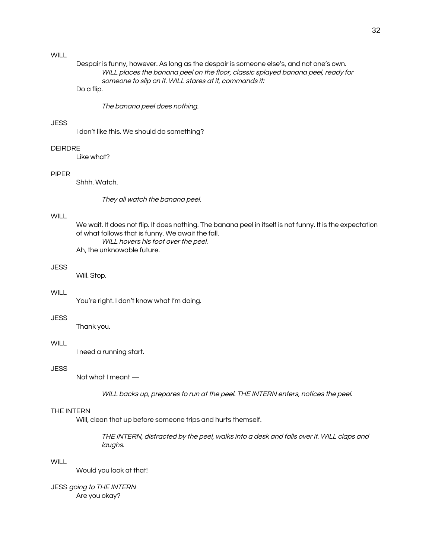## **WILL**

# Despair is funny, however. As long as the despair is someone else's, and not one's own. WILL places the banana peel on the floor, classic splayed banana peel, ready for someone to slip on it. WILL stares at it, commands it:

# Do a flip.

The banana peel does nothing.

#### **JESS**

I don't like this. We should do something?

## DEIRDRE

Like what?

#### PIPER

Shhh. Watch.

They all watch the banana peel.

#### **WILL**

We wait. It does not flip. It does nothing. The banana peel in itself is not funny. It is the expectation of what follows that is funny. We await the fall. WILL hovers his foot over the peel. Ah, the unknowable future.

#### JESS

Will. Stop.

#### **WILL**

You're right. I don't know what I'm doing.

#### **JESS**

Thank you.

## WILL **WILL**

I need a running start.

## **JESS**

Not what I meant —

WILL backs up, prepares to run at the peel. THE INTERN enters, notices the peel.

#### THE INTERN

Will, clean that up before someone trips and hurts themself.

THE INTERN, distracted by the peel, walks into <sup>a</sup> desk and falls over it. WILL claps and laughs.

# **WILL**

Would you look at that!

**JESS going to THE INTERN** Are you okay?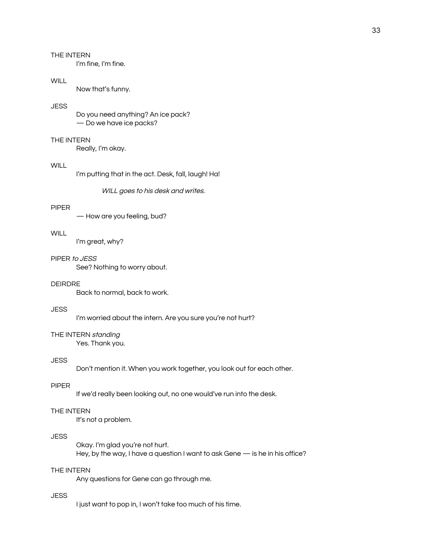I'm fine, I'm fine.

## WILL.

Now that's funny.

## **JESS**

Do you need anything? An ice pack? — Do we have ice packs?

## THE INTERN

Really, I'm okay.

## **WILL**

I'm putting that in the act. Desk, fall, laugh! Ha!

WILL goes to his desk and writes.

#### PIPER

— How are you feeling, bud?

#### **WILL**

I'm great, why?

## PIPER to JESS

See? Nothing to worry about.

## DEIRDRE

Back to normal, back to work.

## **JESS**

I'm worried about the intern. Are you sure you're not hurt?

## THE INTERN standing

Yes. Thank you.

#### **JESS**

Don't mention it. When you work together, you look out for each other.

#### PIPER

If we'd really been looking out, no one would've run into the desk.

## THE INTERN

It's not a problem.

#### JESS

Okay. I'm glad you're not hurt. Hey, by the way, I have a question I want to ask Gene — is he in his office?

#### THE INTERN

Any questions for Gene can go through me.

## **JESS**

I just want to pop in, I won't take too much of his time.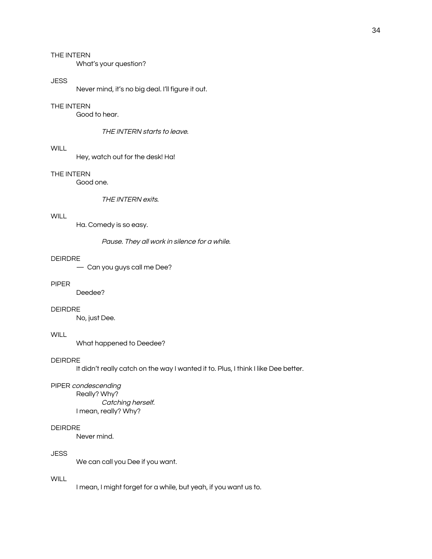What's your question?

#### **JESS**

Never mind, it's no big deal. I'll figure it out.

## THE INTERN

Good to hear.

THE INTERN starts to leave.

## **WILL**

Hey, watch out for the desk! Ha!

#### THE INTERN

Good one.

THE INTERN exits.

## **WILL**

Ha. Comedy is so easy.

Pause. They all work in silence for <sup>a</sup> while.

#### DEIRDRE

— Can you guys call me Dee?

## PIPER

Deedee?

#### DEIRDRE

No, just Dee.

# **WILL**

What happened to Deedee?

#### DEIRDRE

It didn't really catch on the way I wanted it to. Plus, I think I like Dee better.

#### PIPER condescending

Really? Why? Catching herself. I mean, really? Why?

# DEIRDRE

Never mind.

#### **JESS**

We can call you Dee if you want.

## **WILL**

I mean, I might forget for a while, but yeah, if you want us to.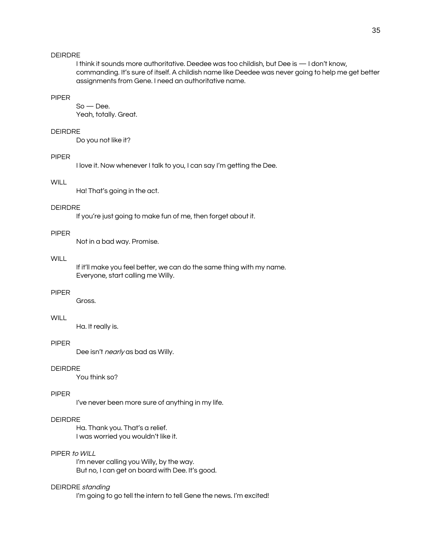## DEIRDRE

I think it sounds more authoritative. Deedee was too childish, but Dee is — I don't know, commanding. It's sure of itself. A childish name like Deedee was never going to help me get better assignments from Gene. I need an authoritative name.

# PIPER

So — Dee. Yeah, totally. Great.

#### DEIRDRE

Do you not like it?

#### PIPER

I love it. Now whenever I talk to you, I can say I'm getting the Dee.

# **WILL**

Ha! That's going in the act.

#### DEIRDRE

If you're just going to make fun of me, then forget about it.

#### PIPER

Not in a bad way. Promise.

## **WILL**

If it'll make you feel better, we can do the same thing with my name. Everyone, start calling me Willy.

#### PIPER

Gross.

# **WILL**

Ha. It really is.

#### PIPER

Dee isn't *nearly* as bad as Willy.

# DEIRDRE

You think so?

#### PIPER

I've never been more sure of anything in my life.

#### DEIRDRE

Ha. Thank you. That's a relief. I was worried you wouldn't like it.

## PIPER to WILL

I'm never calling you Willy, by the way. But no, I can get on board with Dee. It's good.

#### DEIRDRE standing

I'm going to go tell the intern to tell Gene the news. I'm excited!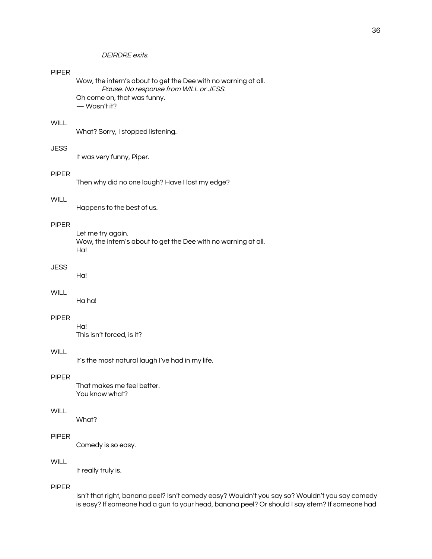# DEIRDRE exits.

## PIPER

Wow, the intern's about to get the Dee with no warning at all. Pause. No response from WILL or JESS. Oh come on, that was funny. — Wasn't it?

## **WILL**

What? Sorry, I stopped listening.

# **JESS**

It was very funny, Piper.

#### PIPER

Then why did no one laugh? Have I lost my edge?

## **WILL**

Happens to the best of us.

## PIPER

Let me try again. Wow, the intern's about to get the Dee with no warning at all. Ha!

#### JESS

Ha!

#### **WILL**

Ha ha!

## PIPER

Ha! This isn't forced, is it?

#### **WILL**

It's the most natural laugh I've had in my life.

## PIPER

That makes me feel better. You know what?

#### WILL

What?

## PIPER

Comedy is so easy.

# **WILL**

It really truly is.

## PIPER

Isn't that right, banana peel? Isn't comedy easy? Wouldn't you say so? Wouldn't you say comedy is easy? If someone had a gun to your head, banana peel? Or should I say stem? If someone had